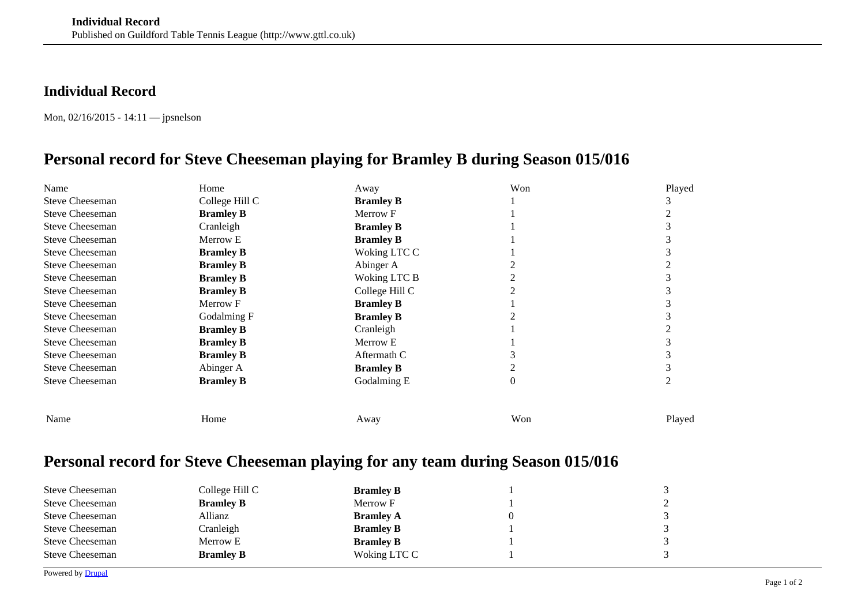## **Individual Record**

Mon, 02/16/2015 - 14:11 — jpsnelson

## **Personal record for Steve Cheeseman playing for Bramley B during Season 015/016**

| Name                   | Home             | Away             | Won      | Played |
|------------------------|------------------|------------------|----------|--------|
| <b>Steve Cheeseman</b> | College Hill C   | <b>Bramley B</b> |          |        |
| <b>Steve Cheeseman</b> | <b>Bramley B</b> | Merrow F         |          |        |
| <b>Steve Cheeseman</b> | Cranleigh        | <b>Bramley B</b> |          |        |
| <b>Steve Cheeseman</b> | Merrow E         | <b>Bramley B</b> |          |        |
| <b>Steve Cheeseman</b> | <b>Bramley B</b> | Woking LTC C     |          |        |
| <b>Steve Cheeseman</b> | <b>Bramley B</b> | Abinger A        |          |        |
| <b>Steve Cheeseman</b> | <b>Bramley B</b> | Woking LTC B     |          |        |
| <b>Steve Cheeseman</b> | <b>Bramley B</b> | College Hill C   |          |        |
| <b>Steve Cheeseman</b> | Merrow F         | <b>Bramley B</b> |          |        |
| <b>Steve Cheeseman</b> | Godalming F      | <b>Bramley B</b> |          |        |
| <b>Steve Cheeseman</b> | <b>Bramley B</b> | Cranleigh        |          |        |
| <b>Steve Cheeseman</b> | <b>Bramley B</b> | Merrow E         |          |        |
| <b>Steve Cheeseman</b> | <b>Bramley B</b> | Aftermath C      |          |        |
| <b>Steve Cheeseman</b> | Abinger A        | <b>Bramley B</b> |          |        |
| <b>Steve Cheeseman</b> | <b>Bramley B</b> | Godalming E      | $\theta$ |        |
|                        |                  |                  |          |        |
| Name                   | Home             | Away             | Won      | Played |
|                        |                  |                  |          |        |

## **Personal record for Steve Cheeseman playing for any team during Season 015/016**

| <b>Steve Cheeseman</b> | College Hill C   | <b>Bramley B</b> |              |
|------------------------|------------------|------------------|--------------|
| <b>Steve Cheeseman</b> | <b>Bramley B</b> | Merrow F         | $\bigcap$    |
| <b>Steve Cheeseman</b> | Allianz          | <b>Bramley A</b> | $\mathbf{z}$ |
| <b>Steve Cheeseman</b> | Cranleigh        | <b>Bramley B</b> | $\mathbf{z}$ |
| <b>Steve Cheeseman</b> | Merrow E         | <b>Bramley B</b> | $\mathbf{z}$ |
| <b>Steve Cheeseman</b> | <b>Bramley B</b> | Woking LTC C     | $\mathbf{r}$ |